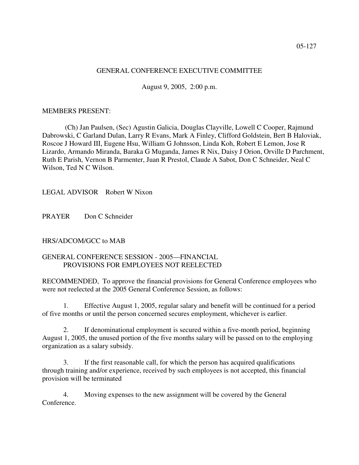## GENERAL CONFERENCE EXECUTIVE COMMITTEE

August 9, 2005, 2:00 p.m.

## MEMBERS PRESENT:

(Ch) Jan Paulsen, (Sec) Agustin Galicia, Douglas Clayville, Lowell C Cooper, Rajmund Dabrowski, C Garland Dulan, Larry R Evans, Mark A Finley, Clifford Goldstein, Bert B Haloviak, Roscoe J Howard III, Eugene Hsu, William G Johnsson, Linda Koh, Robert E Lemon, Jose R Lizardo, Armando Miranda, Baraka G Muganda, James R Nix, Daisy J Orion, Orville D Parchment, Ruth E Parish, Vernon B Parmenter, Juan R Prestol, Claude A Sabot, Don C Schneider, Neal C Wilson, Ted N C Wilson.

LEGAL ADVISOR Robert W Nixon

PRAYER Don C Schneider

HRS/ADCOM/GCC to MAB

# GENERAL CONFERENCE SESSION - 2005—FINANCIAL PROVISIONS FOR EMPLOYEES NOT REELECTED

RECOMMENDED, To approve the financial provisions for General Conference employees who were not reelected at the 2005 General Conference Session, as follows:

1. Effective August 1, 2005, regular salary and benefit will be continued for a period of five months or until the person concerned secures employment, whichever is earlier.

2. If denominational employment is secured within a five-month period, beginning August 1, 2005, the unused portion of the five months salary will be passed on to the employing organization as a salary subsidy.

3. If the first reasonable call, for which the person has acquired qualifications through training and/or experience, received by such employees is not accepted, this financial provision will be terminated

4. Moving expenses to the new assignment will be covered by the General Conference.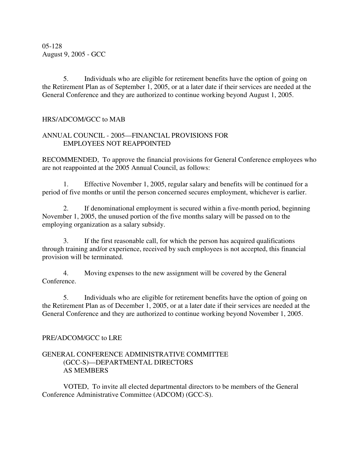05-128 August 9, 2005 - GCC

5. Individuals who are eligible for retirement benefits have the option of going on the Retirement Plan as of September 1, 2005, or at a later date if their services are needed at the General Conference and they are authorized to continue working beyond August 1, 2005.

# HRS/ADCOM/GCC to MAB

# ANNUAL COUNCIL - 2005—FINANCIAL PROVISIONS FOR EMPLOYEES NOT REAPPOINTED

RECOMMENDED, To approve the financial provisions for General Conference employees who are not reappointed at the 2005 Annual Council, as follows:

1. Effective November 1, 2005, regular salary and benefits will be continued for a period of five months or until the person concerned secures employment, whichever is earlier.

2. If denominational employment is secured within a five-month period, beginning November 1, 2005, the unused portion of the five months salary will be passed on to the employing organization as a salary subsidy.

3. If the first reasonable call, for which the person has acquired qualifications through training and/or experience, received by such employees is not accepted, this financial provision will be terminated.

4. Moving expenses to the new assignment will be covered by the General Conference.

5. Individuals who are eligible for retirement benefits have the option of going on the Retirement Plan as of December 1, 2005, or at a later date if their services are needed at the General Conference and they are authorized to continue working beyond November 1, 2005.

## PRE/ADCOM/GCC to LRE

# GENERAL CONFERENCE ADMINISTRATIVE COMMITTEE (GCC-S)—DEPARTMENTAL DIRECTORS AS MEMBERS

VOTED, To invite all elected departmental directors to be members of the General Conference Administrative Committee (ADCOM) (GCC-S).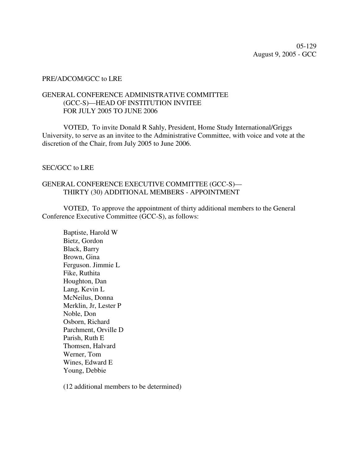## PRE/ADCOM/GCC to LRE

## GENERAL CONFERENCE ADMINISTRATIVE COMMITTEE (GCC-S)—HEAD OF INSTITUTION INVITEE FOR JULY 2005 TO JUNE 2006

VOTED, To invite Donald R Sahly, President, Home Study International/Griggs University, to serve as an invitee to the Administrative Committee, with voice and vote at the discretion of the Chair, from July 2005 to June 2006.

## SEC/GCC to LRE

# GENERAL CONFERENCE EXECUTIVE COMMITTEE (GCC-S)— THIRTY (30) ADDITIONAL MEMBERS - APPOINTMENT

VOTED, To approve the appointment of thirty additional members to the General Conference Executive Committee (GCC-S), as follows:

Baptiste, Harold W Bietz, Gordon Black, Barry Brown, Gina Ferguson. Jimmie L Fike, Ruthita Houghton, Dan Lang, Kevin L McNeilus, Donna Merklin, Jr, Lester P Noble, Don Osborn, Richard Parchment, Orville D Parish, Ruth E Thomsen, Halvard Werner, Tom Wines, Edward E Young, Debbie

(12 additional members to be determined)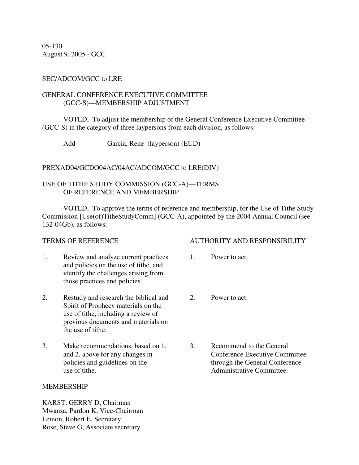05-130 August 9, 2005 - GCC

# SEC/ADCOM/GCC to LRE

## GENERAL CONFERENCE EXECUTIVE COMMITTEE (GCC-S)—MEMBERSHIP ADJUSTMENT

VOTED, To adjust the membership of the General Conference Executive Committee (GCC-S) in the category of three laypersons from each division, as follows:

Add Garcia, Rene (layperson) (EUD)

PREXAD04/GCDO04AC/04AC/ADCOM/GCC to LRE(DIV)

# USE OF TITHE STUDY COMMISSION (GCC-A)—TERMS OF REFERENCE AND MEMBERSHIP

VOTED, To approve the terms of reference and membership, for the Use of Tithe Study Commission [Use(of)TitheStudyComm] (GCC-A), appointed by the 2004 Annual Council (see 132-04Gb), as follows:

- 1. Review and analyze current practices 1. Power to act. and policies on the use of tithe, and identify the challenges arising from those practices and policies.
- 2. Restudy and research the biblical and 2. Power to act. Spirit of Prophecy materials on the use of tithe, including a review of previous documents and materials on the use of tithe.
- 3. Make recommendations, based on 1. 3. Recommend to the General use of tithe. Administrative Committee.

## MEMBERSHIP

KARST, GERRY D, Chairman Mwansa, Pardon K, Vice-Chairman Lemon, Robert E, Secretary Rose, Steve G, Associate secretary

## TERMS OF REFERENCE AUTHORITY AND RESPONSIBILITY

- 
- 
- and 2. above for any changes in Conference Executive Committee policies and guidelines on the through the General Conference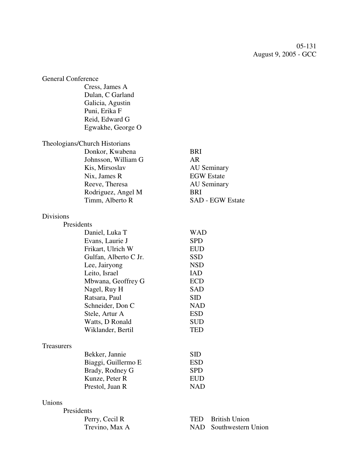05-131 August 9, 2005 - GCC

| <b>General Conference</b>     |                             |
|-------------------------------|-----------------------------|
| Cress, James A                |                             |
| Dulan, C Garland              |                             |
| Galicia, Agustin              |                             |
| Puni, Erika F                 |                             |
| Reid, Edward G                |                             |
| Egwakhe, George O             |                             |
|                               |                             |
| Theologians/Church Historians |                             |
| Donkor, Kwabena               | <b>BRI</b>                  |
| Johnsson, William G           | <b>AR</b>                   |
| Kis, Mirsoslav                | <b>AU</b> Seminary          |
| Nix, James R                  | <b>EGW</b> Estate           |
| Reeve, Theresa                | <b>AU</b> Seminary          |
| Rodriguez, Angel M            | <b>BRI</b>                  |
| Timm, Alberto R               | <b>SAD - EGW Estate</b>     |
|                               |                             |
| <b>Divisions</b>              |                             |
| Presidents                    |                             |
| Daniel, Luka T                | <b>WAD</b>                  |
| Evans, Laurie J               | <b>SPD</b>                  |
| Frikart, Ulrich W             | <b>EUD</b>                  |
| Gulfan, Alberto C Jr.         | <b>SSD</b>                  |
| Lee, Jairyong                 | <b>NSD</b>                  |
| Leito, Israel                 | <b>IAD</b>                  |
| Mbwana, Geoffrey G            | <b>ECD</b>                  |
| Nagel, Ruy H                  | <b>SAD</b>                  |
| Ratsara, Paul                 | <b>SID</b>                  |
| Schneider, Don C              | <b>NAD</b>                  |
| Stele, Artur A                | <b>ESD</b>                  |
| Watts, D Ronald               | <b>SUD</b>                  |
| Wiklander, Bertil             | TED                         |
|                               |                             |
| Treasurers                    |                             |
| Bekker, Jannie                | <b>SID</b>                  |
| Biaggi, Guillermo E           | <b>ESD</b>                  |
| Brady, Rodney G               | <b>SPD</b>                  |
| Kunze, Peter R                | <b>EUD</b>                  |
| Prestol, Juan R               | <b>NAD</b>                  |
| Unions                        |                             |
| Presidents                    |                             |
| Perry, Cecil R                | <b>British Union</b><br>TED |
| Trevino, Max A                | NAD -<br>Southwestern Union |
|                               |                             |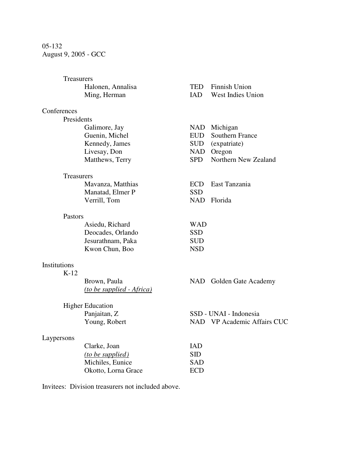# 05-132 August 9, 2005 - GCC

| Treasurers             |                                           |            |                                           |
|------------------------|-------------------------------------------|------------|-------------------------------------------|
|                        | Halonen, Annalisa<br>Ming, Herman         | TED<br>IAD | <b>Finnish Union</b><br>West Indies Union |
| Conferences            |                                           |            |                                           |
| Presidents             |                                           |            |                                           |
|                        | Galimore, Jay                             |            | NAD Michigan                              |
|                        | Guenin, Michel                            | EUD        | <b>Southern France</b>                    |
|                        | Kennedy, James                            | SUD        | (expatriate)                              |
|                        | Livesay, Don                              |            | NAD Oregon                                |
|                        | Matthews, Terry                           | <b>SPD</b> | Northern New Zealand                      |
| Treasurers             |                                           |            |                                           |
|                        | Mavanza, Matthias                         | <b>ECD</b> | East Tanzania                             |
|                        | Manatad, Elmer P                          | <b>SSD</b> |                                           |
|                        | Verrill, Tom                              |            | NAD Florida                               |
| Pastors                |                                           |            |                                           |
|                        | Asiedu, Richard                           | <b>WAD</b> |                                           |
|                        | Deocades, Orlando                         | <b>SSD</b> |                                           |
|                        | Jesurathnam, Paka                         | <b>SUD</b> |                                           |
|                        | Kwon Chun, Boo                            | <b>NSD</b> |                                           |
| Institutions<br>$K-12$ |                                           |            |                                           |
|                        | Brown, Paula<br>(to be supplied - Africa) |            | NAD Golden Gate Academy                   |
|                        | <b>Higher Education</b>                   |            |                                           |
|                        | Panjaitan, Z                              |            | SSD - UNAI - Indonesia                    |
|                        | Young, Robert                             |            | NAD VP Academic Affairs CUC               |
| Laypersons             |                                           |            |                                           |
|                        | Clarke, Joan                              | <b>IAD</b> |                                           |
|                        | (to be supplied)                          | <b>SID</b> |                                           |
|                        | Michiles, Eunice                          | <b>SAD</b> |                                           |
|                        | Okotto, Lorna Grace                       | <b>ECD</b> |                                           |
|                        |                                           |            |                                           |

Invitees: Division treasurers not included above.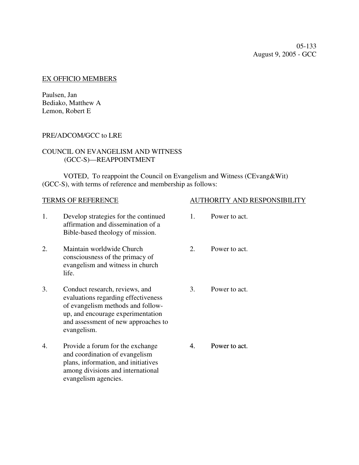05-133 August 9, 2005 - GCC

## EX OFFICIO MEMBERS

Paulsen, Jan Bediako, Matthew A Lemon, Robert E

# PRE/ADCOM/GCC to LRE

# COUNCIL ON EVANGELISM AND WITNESS (GCC-S)—REAPPOINTMENT

VOTED, To reappoint the Council on Evangelism and Witness (CEvang&Wit) (GCC-S), with terms of reference and membership as follows:

- 1. Develop strategies for the continued affirmation and dissemination of a Bible-based theology of mission.
- 2. Maintain worldwide Church consciousness of the primacy of evangelism and witness in church life.
- 3. Conduct research, reviews, and evaluations regarding effectiveness of evangelism methods and followup, and encourage experimentation and assessment of new approaches to evangelism.
- 4. Provide a forum for the exchange and coordination of evangelism plans, information, and initiatives among divisions and international evangelism agencies.

# TERMS OF REFERENCE AUTHORITY AND RESPONSIBILITY

- 1. Power to act.
- 2. Power to act.
- 3. Power to act.

4. Power to act.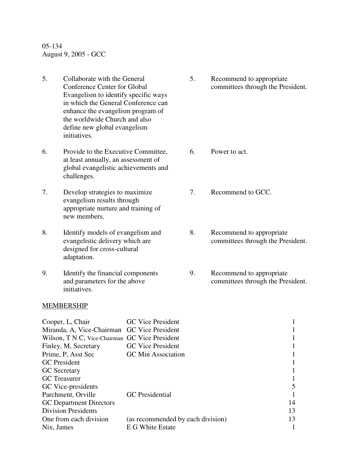05-134 August 9, 2005 - GCC

- 5. Collaborate with the General Conference Center for Global Evangelism to identify specific ways in which the General Conference can enhance the evangelism program of the worldwide Church and also define new global evangelism initiatives.
- 6. Provide to the Executive Committee, at least annually, an assessment of global evangelistic achievements and challenges.
- 7. Develop strategies to maximize evangelism results through appropriate nurture and training of new members.
- 8. Identify models of evangelism and evangelistic delivery which are designed for cross-cultural adaptation.
- 9. Identify the financial components and parameters for the above initiatives.

## MEMBERSHIP

5. Recommend to appropriate committees through the President.

- 6. Power to act.
- 7. Recommend to GCC.
- 8. Recommend to appropriate committees through the President.
- 9. Recommend to appropriate committees through the President.

| Cooper, L, Chair                               | <b>GC</b> Vice President          |    |
|------------------------------------------------|-----------------------------------|----|
| Miranda, A, Vice-Chairman GC Vice President    |                                   |    |
| Wilson, T N C, Vice-Chairman GC Vice President |                                   |    |
| Finley, M, Secretary                           | <b>GC</b> Vice President          |    |
| Prime, P, Asst Sec                             | <b>GC</b> Min Association         |    |
| <b>GC</b> President                            |                                   |    |
| <b>GC</b> Secretary                            |                                   |    |
| <b>GC</b> Treasurer                            |                                   |    |
| GC Vice-presidents                             |                                   |    |
| Parchment, Orville                             | <b>GC</b> Presidential            |    |
| <b>GC</b> Department Directors                 |                                   | 14 |
| <b>Division Presidents</b>                     |                                   | 13 |
| One from each division                         | (as recommended by each division) | 13 |
| Nix, James                                     | E G White Estate                  |    |
|                                                |                                   |    |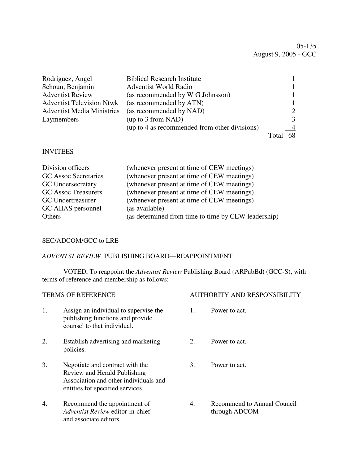05-135 August 9, 2005 - GCC

| Rodriguez, Angel                  | <b>Biblical Research Institute</b>            |    |
|-----------------------------------|-----------------------------------------------|----|
| Schoun, Benjamin                  | <b>Adventist World Radio</b>                  |    |
| <b>Adventist Review</b>           | (as recommended by W G Johnsson)              |    |
| <b>Adventist Television Ntwk</b>  | (as recommended by ATN)                       |    |
| <b>Adventist Media Ministries</b> | (as recommended by NAD)                       |    |
| Laymembers                        | (up to 3 from NAD)                            |    |
|                                   | (up to 4 as recommended from other divisions) |    |
|                                   |                                               | 68 |

## INVITEES

| (whenever present at time of CEW meetings)<br>Division officers          |  |
|--------------------------------------------------------------------------|--|
| (whenever present at time of CEW meetings)<br>GC Assoc Secretaries       |  |
| (whenever present at time of CEW meetings)<br><b>GC</b> Undersecretary   |  |
| <b>GC Assoc Treasurers</b><br>(whenever present at time of CEW meetings) |  |
| (whenever present at time of CEW meetings)<br>GC Undertreasurer          |  |
| GC AIIAS personnel<br>(as available)                                     |  |
| (as determined from time to time by CEW leadership)<br>Others            |  |

## SEC/ADCOM/GCC to LRE

## *ADVENTST REVIEW* PUBLISHING BOARD—REAPPOINTMENT

VOTED, To reappoint the *Adventist Review* Publishing Board (ARPubBd) (GCC-S), with terms of reference and membership as follows:

| <b>TERMS OF REFERENCE</b> |                                                                                                                                              |                | <b>AUTHORITY AND RESPONSIBILITY</b>          |  |
|---------------------------|----------------------------------------------------------------------------------------------------------------------------------------------|----------------|----------------------------------------------|--|
| 1.                        | Assign an individual to supervise the<br>publishing functions and provide<br>counsel to that individual.                                     | $\mathbf{1}$ . | Power to act.                                |  |
| 2.                        | Establish advertising and marketing<br>policies.                                                                                             | 2.             | Power to act.                                |  |
| 3.                        | Negotiate and contract with the<br>Review and Herald Publishing<br>Association and other individuals and<br>entities for specified services. | 3.             | Power to act.                                |  |
| 4.                        | Recommend the appointment of<br>Adventist Review editor-in-chief<br>and associate editors                                                    | 4.             | Recommend to Annual Council<br>through ADCOM |  |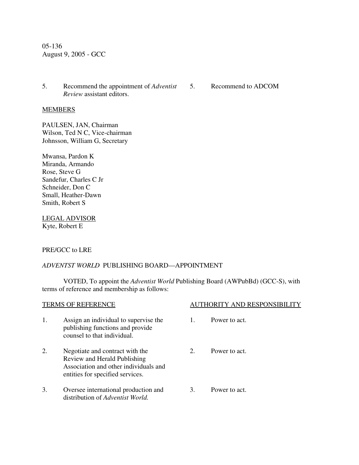05-136 August 9, 2005 - GCC

- 5. Recommend the appointment of *Adventist* 5. Recommend to ADCOM *Review* assistant editors.
	-

## **MEMBERS**

PAULSEN, JAN, Chairman Wilson, Ted N C, Vice-chairman Johnsson, William G, Secretary

Mwansa, Pardon K Miranda, Armando Rose, Steve G Sandefur, Charles C Jr Schneider, Don C Small, Heather-Dawn Smith, Robert S

LEGAL ADVISOR Kyte, Robert E

## PRE/GCC to LRE

## *ADVENTST WORLD* PUBLISHING BOARD—APPOINTMENT

VOTED, To appoint the *Adventist World* Publishing Board (AWPubBd) (GCC-S), with terms of reference and membership as follows:

| <b>TERMS OF REFERENCE</b> |                                                                                                                                              |    | <b>AUTHORITY AND RESPONSIBI</b> |  |  |
|---------------------------|----------------------------------------------------------------------------------------------------------------------------------------------|----|---------------------------------|--|--|
| 1.                        | Assign an individual to supervise the<br>publishing functions and provide<br>counsel to that individual.                                     |    | Power to act.                   |  |  |
| 2.                        | Negotiate and contract with the<br>Review and Herald Publishing<br>Association and other individuals and<br>entities for specified services. | 2. | Power to act.                   |  |  |
| 3.                        | Oversee international production and<br>distribution of <i>Adventist World</i> .                                                             | 3. | Power to act.                   |  |  |